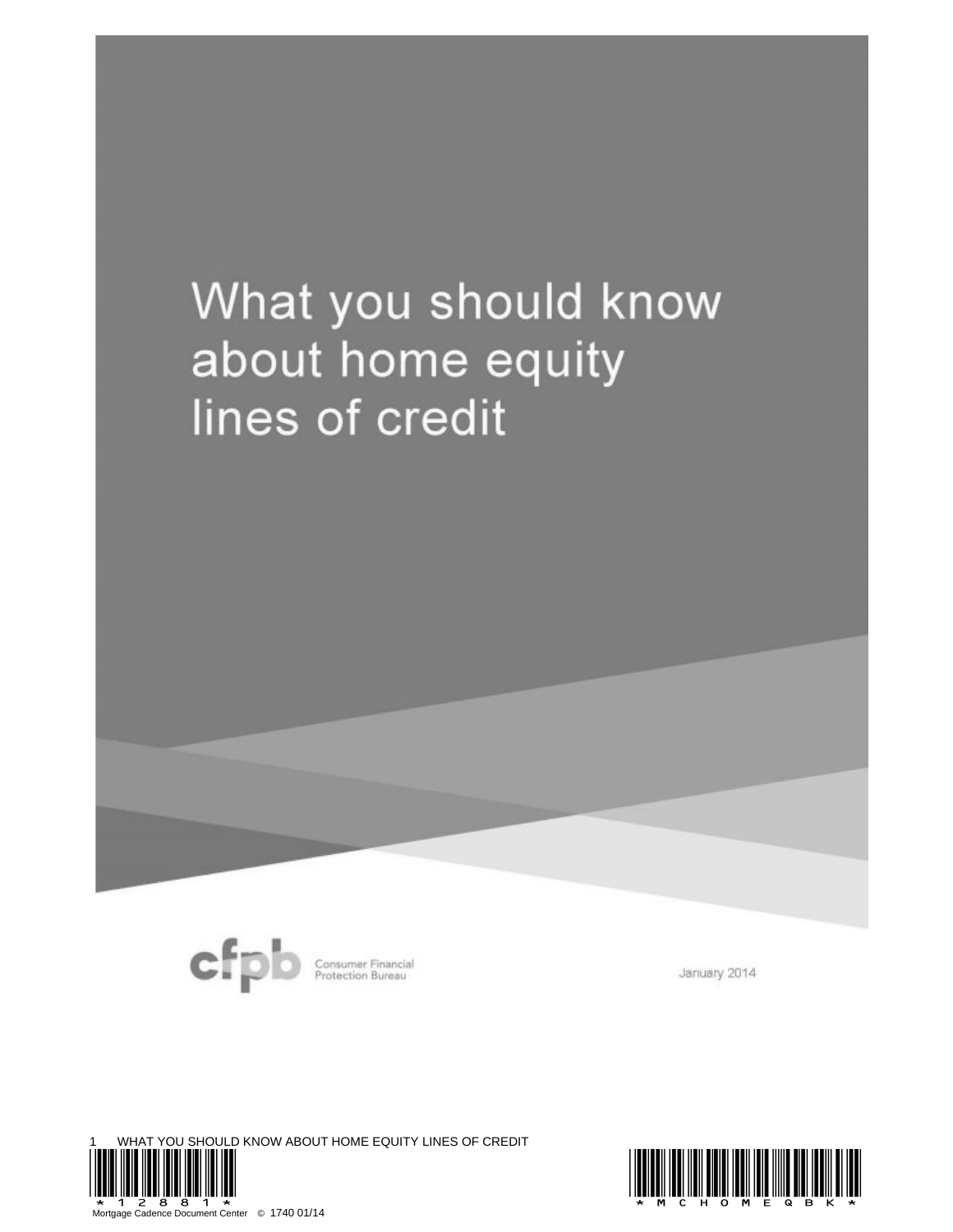# What you should know about home equity lines of credit



Consumer Financial<br>Protection Bureau

January 2014

YOU SHOULD KNOW ABOUT HOME EQUITY LINES OF CREDIT Mortgage Cadence Document Center © 1740 01/14

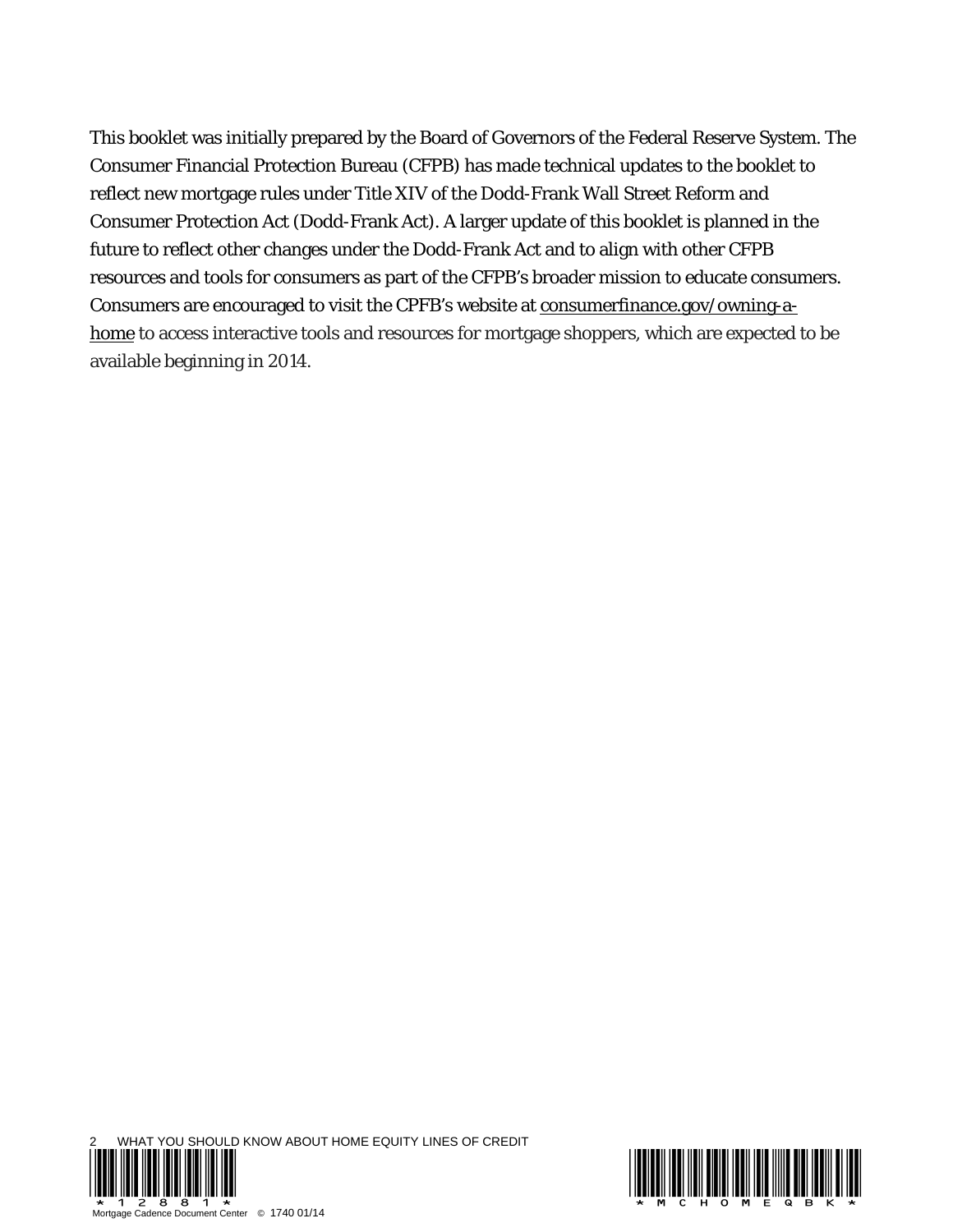This booklet was initially prepared by the Board of Governors of the Federal Reserve System. The Consumer Financial Protection Bureau (CFPB) has made technical updates to the booklet to reflect new mortgage rules under Title XIV of the Dodd-Frank Wall Street Reform and Consumer Protection Act (Dodd-Frank Act). A larger update of this booklet is planned in the future to reflect other changes under the Dodd-Frank Act and to align with other CFPB resources and tools for consumers as part of the CFPB's broader mission to educate consumers. Consumers are encouraged to visit the CPFB's website at consumerfinance.gov/owning-ahome to access interactive tools and resources for mortgage shoppers, which are expected to be available beginning in 2014.



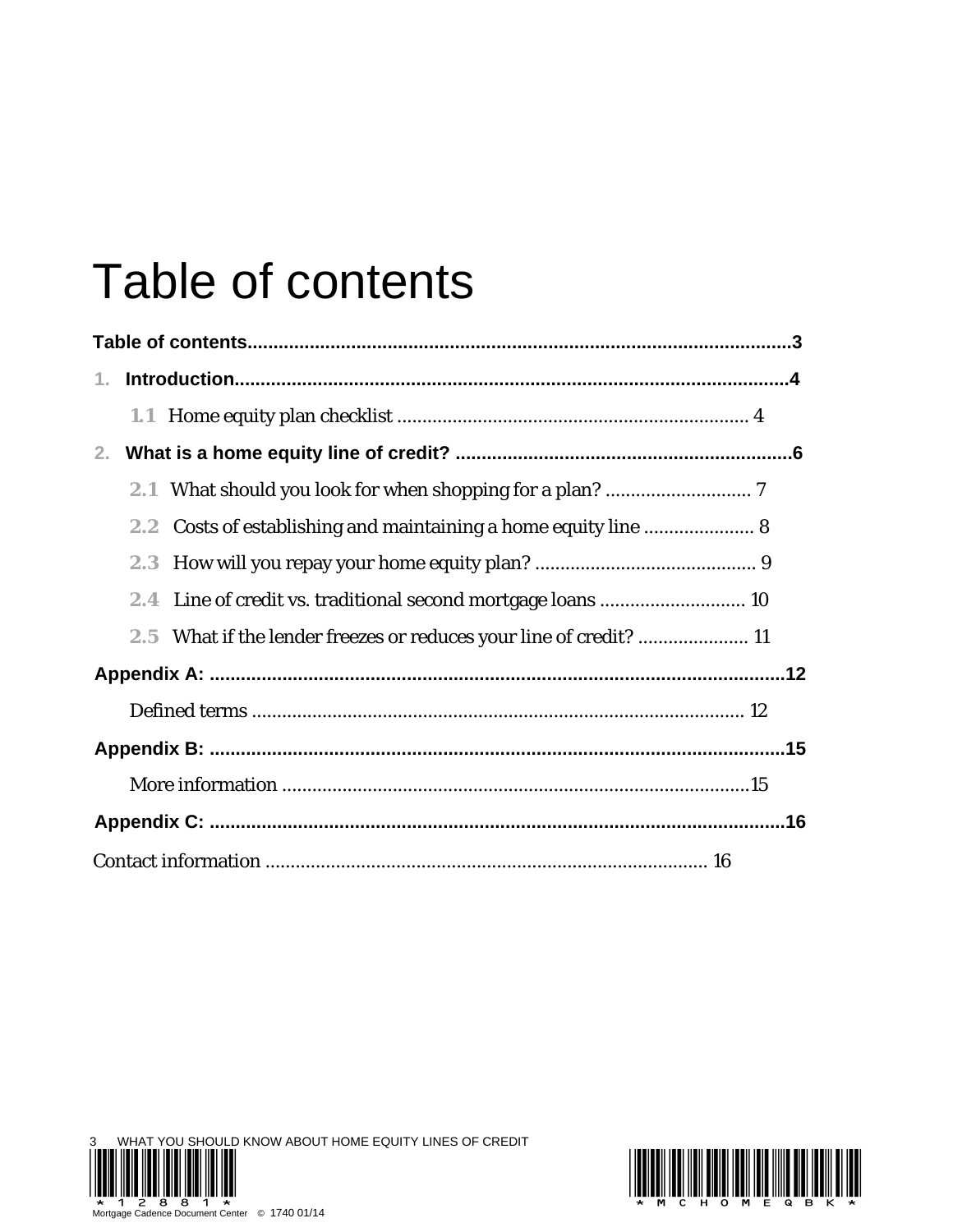# Table of contents

| 1.                                                                 |  |
|--------------------------------------------------------------------|--|
|                                                                    |  |
| 2 <sub>1</sub>                                                     |  |
|                                                                    |  |
| Costs of establishing and maintaining a home equity line  8<br>2.2 |  |
|                                                                    |  |
|                                                                    |  |
| 2.5 What if the lender freezes or reduces your line of credit?  11 |  |
|                                                                    |  |
|                                                                    |  |
|                                                                    |  |
|                                                                    |  |
|                                                                    |  |
|                                                                    |  |

WHAT YOU SHOULD KNOW ABOUT HOME EQUITY LINES OF CREDIT \*12881\* \*MCHOMEQBK\* Mortgage Cadence Document Center © 1740 01/14

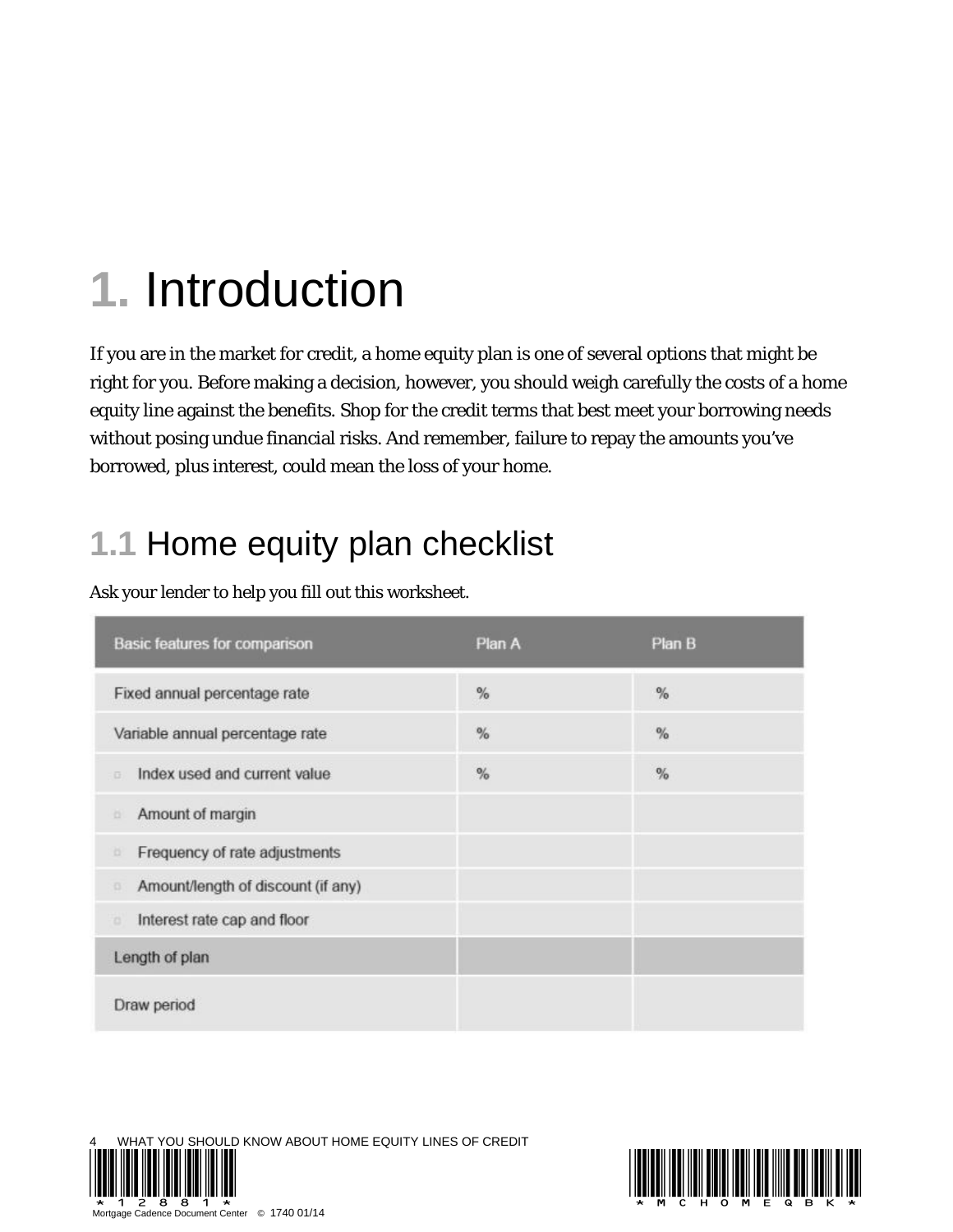## **1.** Introduction

If you are in the market for credit, a home equity plan is one of several options that might be right for you. Before making a decision, however, you should weigh carefully the costs of a home equity line against the benefits. Shop for the credit terms that best meet your borrowing needs without posing undue financial risks. And remember, failure to repay the amounts you've borrowed, plus interest, could mean the loss of your home.

## **1.1** Home equity plan checklist

| Basic features for comparison                  | Plan A | Plan B |
|------------------------------------------------|--------|--------|
| Fixed annual percentage rate                   | $\%$   | %      |
| Variable annual percentage rate                | $\%$   | $\%$   |
| Index used and current value<br>$\overline{G}$ | $\%$   | %      |
| Amount of margin<br>o                          |        |        |
| Frequency of rate adjustments<br>a             |        |        |
| Amount/length of discount (if any)<br>ō        |        |        |
| Interest rate cap and floor<br>o               |        |        |
| Length of plan                                 |        |        |
| Draw period                                    |        |        |

Ask your lender to help you fill out this worksheet.

YOU SHOULD KNOW ABOUT HOME EQUITY LINES OF CREDIT Cadence Document Center © 1740 01/14

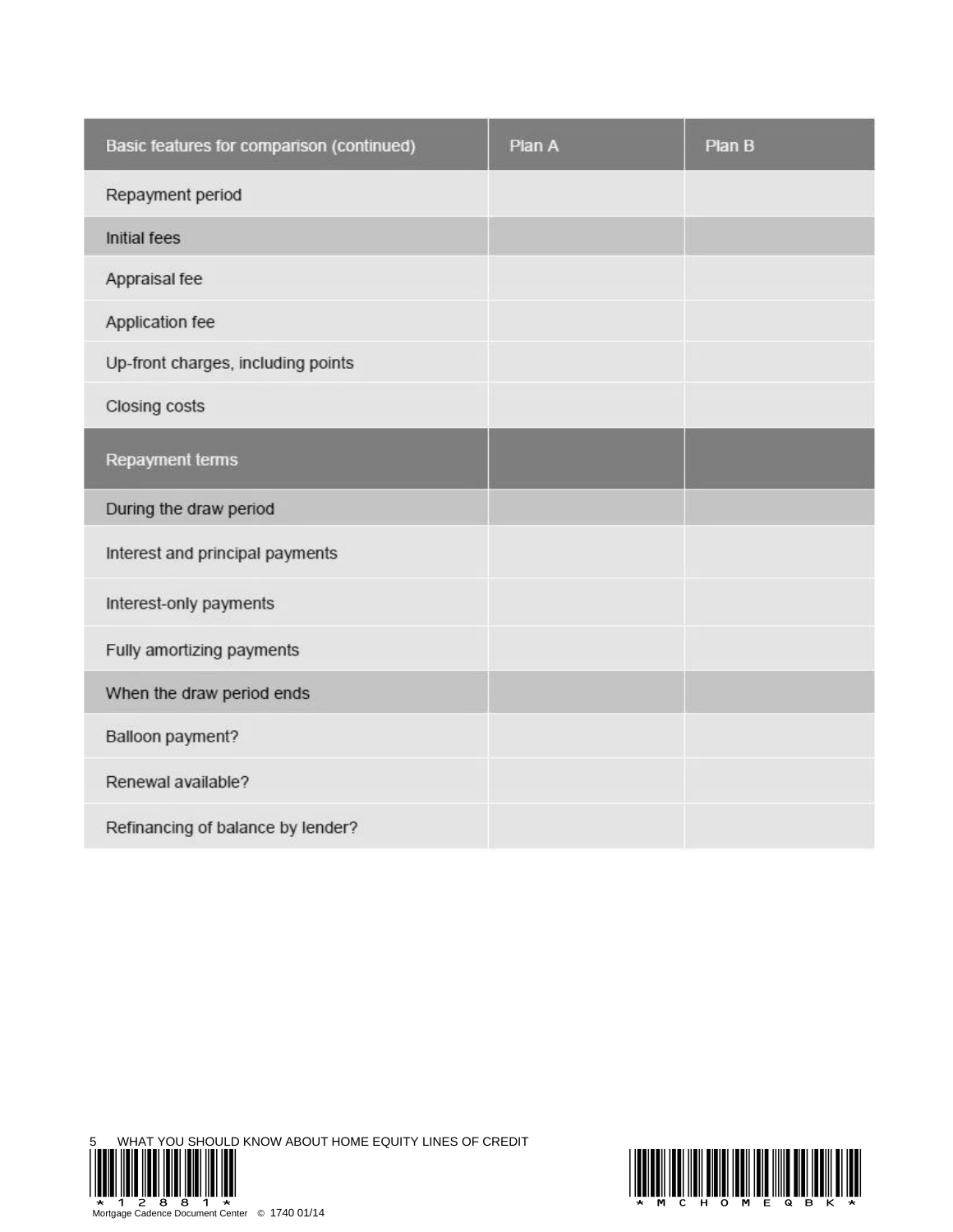| Basic features for comparison (continued) | Plan A | Plan B |
|-------------------------------------------|--------|--------|
| Repayment period                          |        |        |
| <b>Initial fees</b>                       |        |        |
| Appraisal fee                             |        |        |
| Application fee                           |        |        |
| Up-front charges, including points        |        |        |
| Closing costs                             |        |        |
| Repayment terms                           |        |        |
| During the draw period                    |        |        |
| Interest and principal payments           |        |        |
| Interest-only payments                    |        |        |
| Fully amortizing payments                 |        |        |
| When the draw period ends                 |        |        |
| Balloon payment?                          |        |        |
| Renewal available?                        |        |        |
| Refinancing of balance by lender?         |        |        |



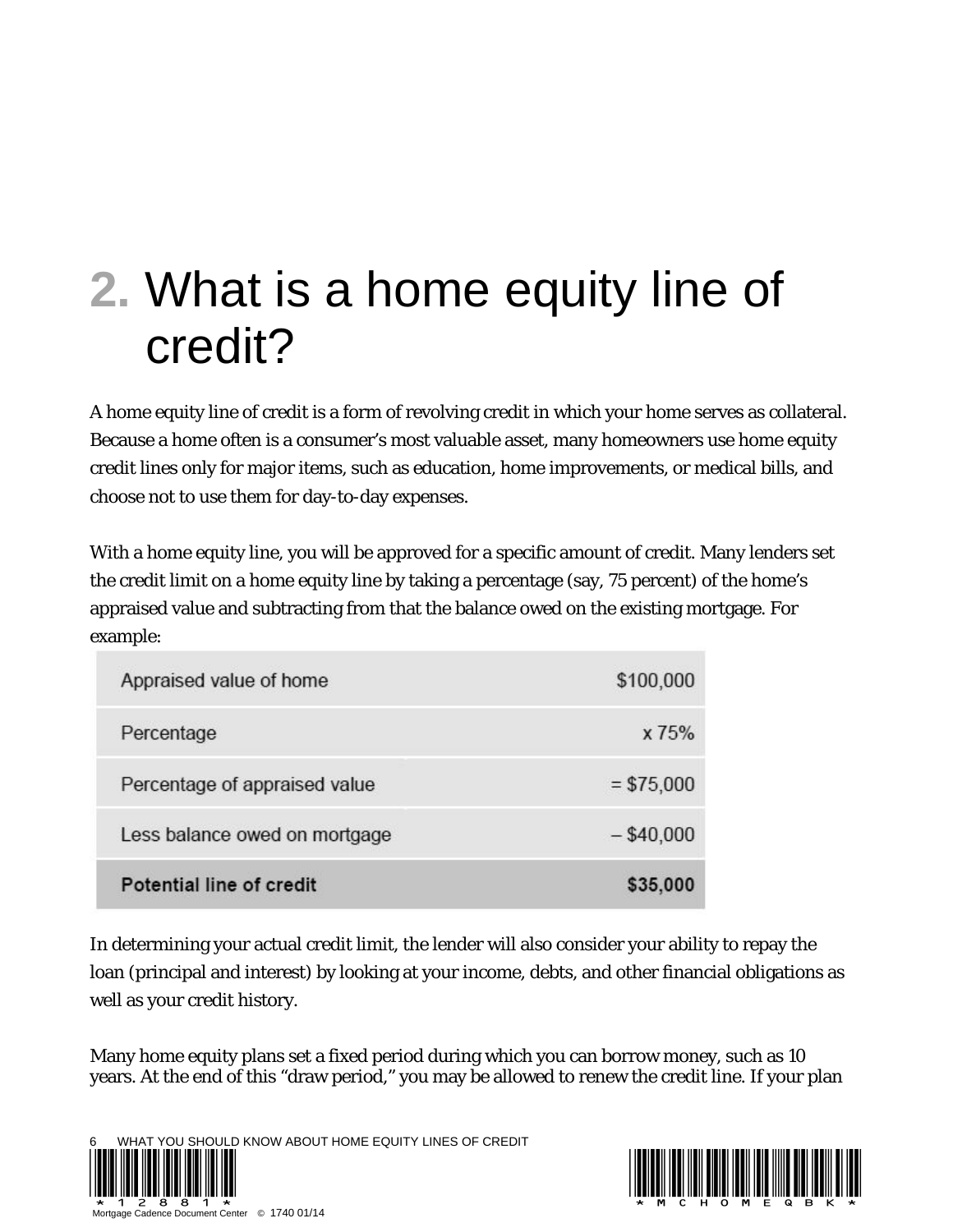# **2.** What is a home equity line of credit?

A home equity line of credit is a form of revolving credit in which your home serves as collateral. Because a home often is a consumer's most valuable asset, many homeowners use home equity credit lines only for major items, such as education, home improvements, or medical bills, and choose not to use them for day-to-day expenses.

With a home equity line, you will be approved for a specific amount of credit. Many lenders set the credit limit on a home equity line by taking a percentage (say, 75 percent) of the home's appraised value and subtracting from that the balance owed on the existing mortgage. For example:

| Appraised value of home       | \$100,000    |
|-------------------------------|--------------|
| Percentage                    | x 75%        |
| Percentage of appraised value | $= $75,000$  |
| Less balance owed on mortgage | $-$ \$40,000 |
| Potential line of credit      | \$35,000     |

In determining your actual credit limit, the lender will also consider your ability to repay the loan (principal and interest) by looking at your income, debts, and other financial obligations as well as your credit history.

Many home equity plans set a fixed period during which you can borrow money, such as 10 years. At the end of this "draw period," you may be allowed to renew the credit line. If your plan



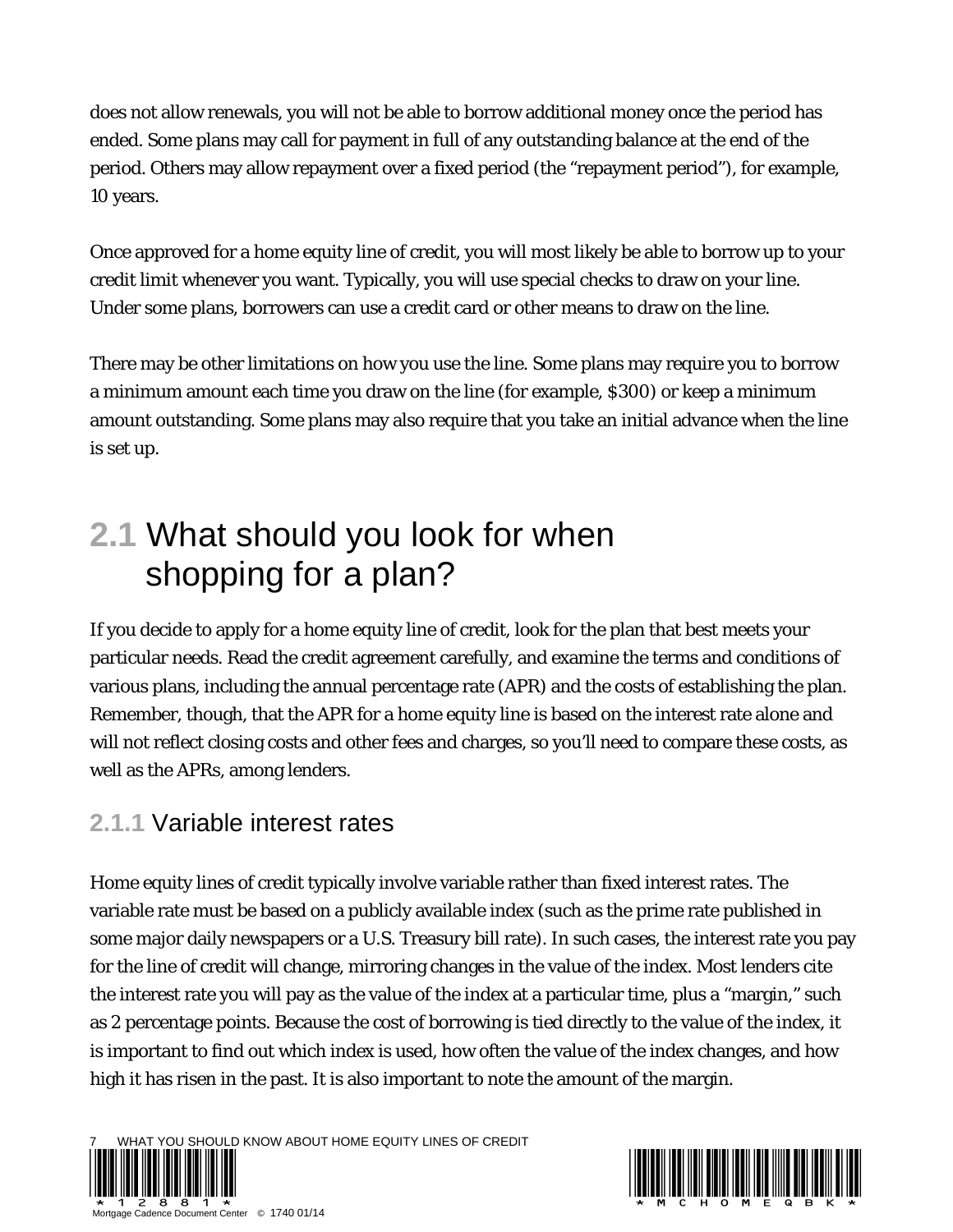does not allow renewals, you will not be able to borrow additional money once the period has ended. Some plans may call for payment in full of any outstanding balance at the end of the period. Others may allow repayment over a fixed period (the "repayment period"), for example, 10 years.

Once approved for a home equity line of credit, you will most likely be able to borrow up to your credit limit whenever you want. Typically, you will use special checks to draw on your line. Under some plans, borrowers can use a credit card or other means to draw on the line.

There may be other limitations on how you use the line. Some plans may require you to borrow a minimum amount each time you draw on the line (for example, \$300) or keep a minimum amount outstanding. Some plans may also require that you take an initial advance when the line is set up.

### **2.1** What should you look for when shopping for a plan?

If you decide to apply for a home equity line of credit, look for the plan that best meets your particular needs. Read the credit agreement carefully, and examine the terms and conditions of various plans, including the annual percentage rate (APR) and the costs of establishing the plan. Remember, though, that the APR for a home equity line is based on the interest rate alone and will not reflect closing costs and other fees and charges, so you'll need to compare these costs, as well as the APRs, among lenders.

#### **2.1.1** Variable interest rates

Home equity lines of credit typically involve variable rather than fixed interest rates. The variable rate must be based on a publicly available index (such as the prime rate published in some major daily newspapers or a U.S. Treasury bill rate). In such cases, the interest rate you pay for the line of credit will change, mirroring changes in the value of the index. Most lenders cite the interest rate you will pay as the value of the index at a particular time, plus a "margin," such as 2 percentage points. Because the cost of borrowing is tied directly to the value of the index, it is important to find out which index is used, how often the value of the index changes, and how high it has risen in the past. It is also important to note the amount of the margin.

AT YOU SHOULD KNOW ABOUT HOME EQUITY LINES OF CREDIT

Mortgage Canadia: 1740 01/14

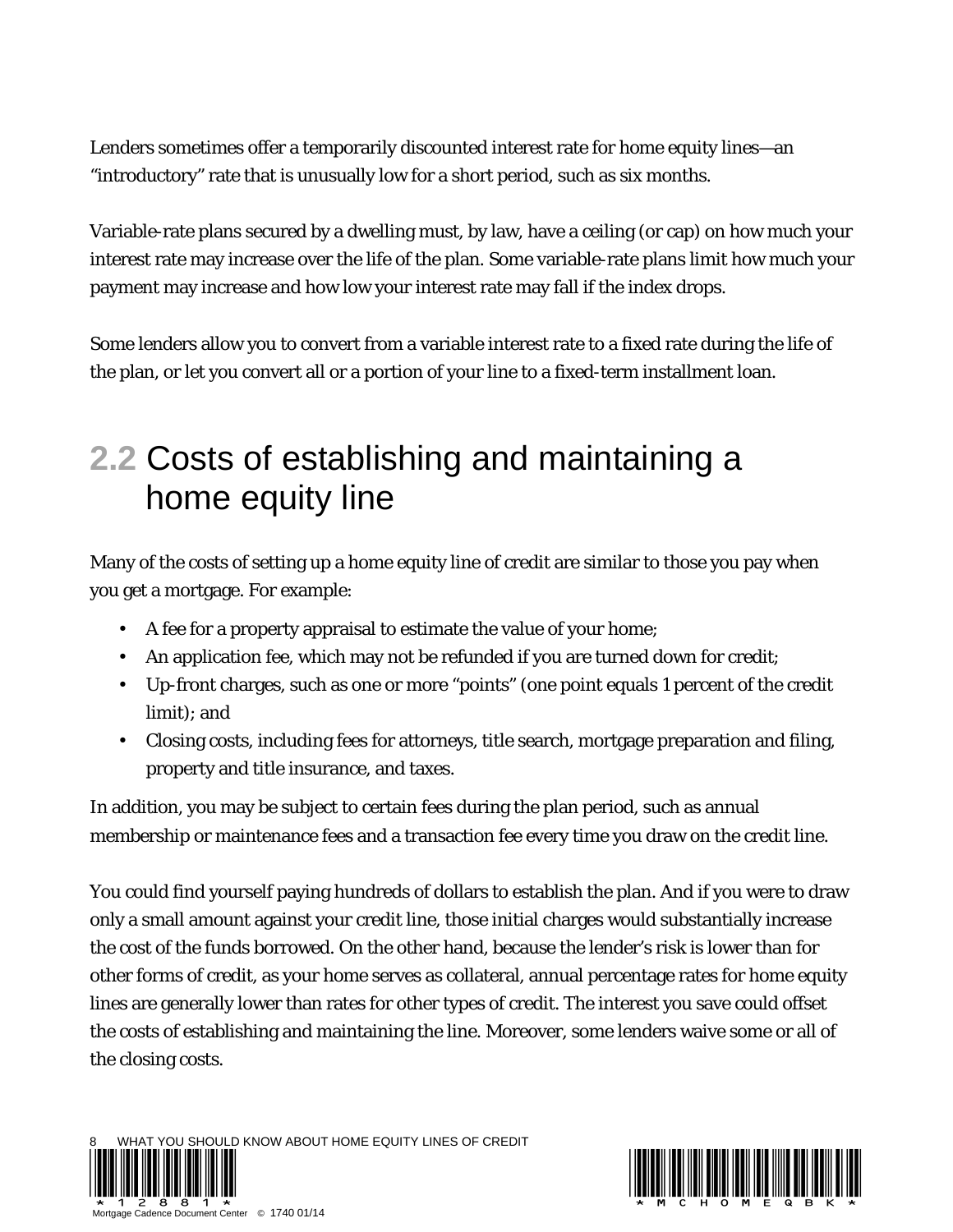Lenders sometimes offer a temporarily discounted interest rate for home equity lines—an "introductory" rate that is unusually low for a short period, such as six months.

Variable-rate plans secured by a dwelling must, by law, have a ceiling (or cap) on how much your interest rate may increase over the life of the plan. Some variable-rate plans limit how much your payment may increase and how low your interest rate may fall if the index drops.

Some lenders allow you to convert from a variable interest rate to a fixed rate during the life of the plan, or let you convert all or a portion of your line to a fixed-term installment loan.

#### **2.2** Costs of establishing and maintaining a home equity line

Many of the costs of setting up a home equity line of credit are similar to those you pay when you get a mortgage. For example:

- A fee for a property appraisal to estimate the value of your home;
- An application fee, which may not be refunded if you are turned down for credit;
- Up-front charges, such as one or more "points" (one point equals 1 percent of the credit limit); and
- Closing costs, including fees for attorneys, title search, mortgage preparation and filing, property and title insurance, and taxes.

In addition, you may be subject to certain fees during the plan period, such as annual membership or maintenance fees and a transaction fee every time you draw on the credit line.

You could find yourself paying hundreds of dollars to establish the plan. And if you were to draw only a small amount against your credit line, those initial charges would substantially increase the cost of the funds borrowed. On the other hand, because the lender's risk is lower than for other forms of credit, as your home serves as collateral, annual percentage rates for home equity lines are generally lower than rates for other types of credit. The interest you save could offset the costs of establishing and maintaining the line. Moreover, some lenders waive some or all of the closing costs.

WHAT YOU SHOULD KNOW ABOUT HOME EQUITY LINES OF CREDIT



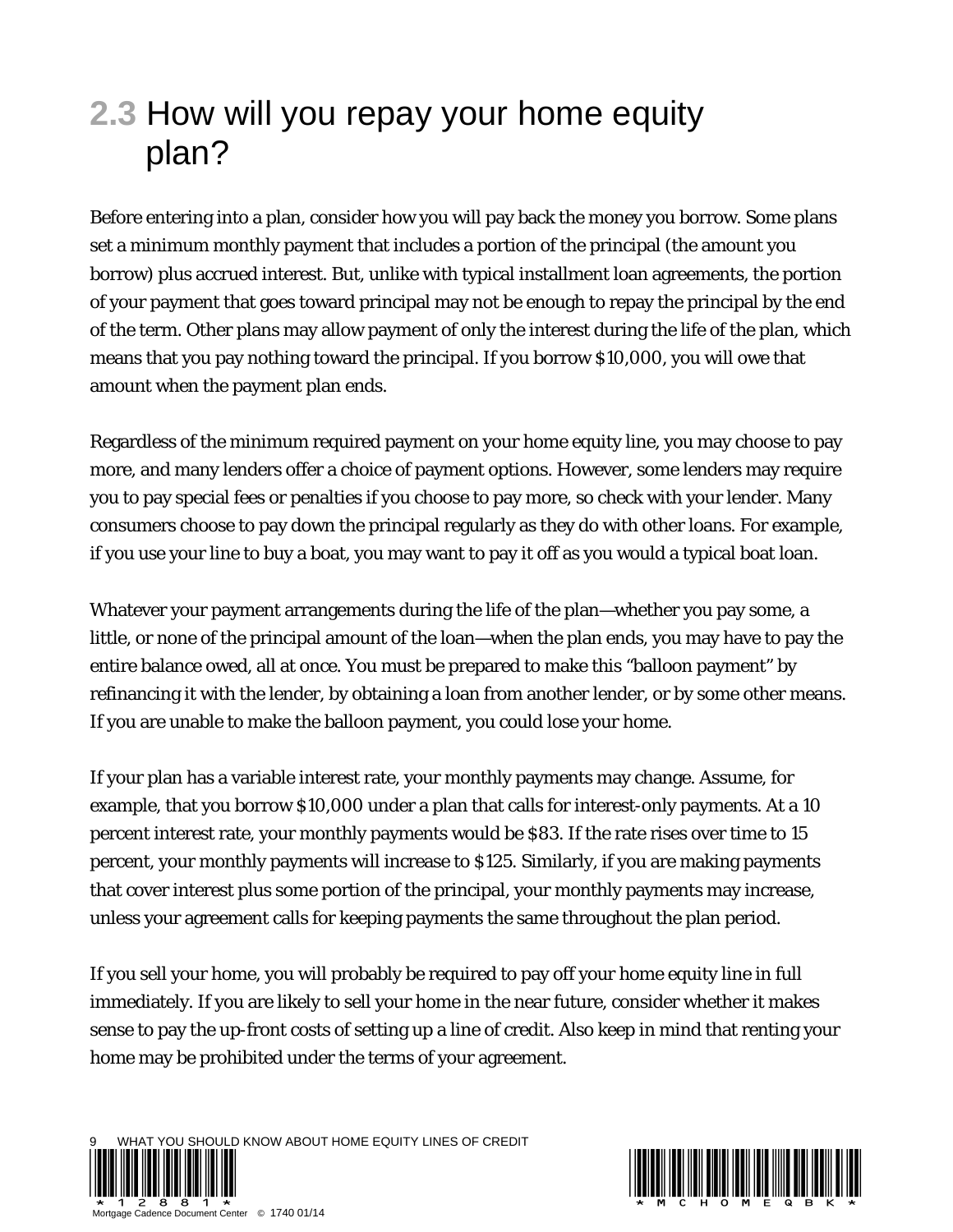### **2.3** How will you repay your home equity plan?

Before entering into a plan, consider how you will pay back the money you borrow. Some plans set a minimum monthly payment that includes a portion of the principal (the amount you borrow) plus accrued interest. But, unlike with typical installment loan agreements, the portion of your payment that goes toward principal may not be enough to repay the principal by the end of the term. Other plans may allow payment of only the interest during the life of the plan, which means that you pay nothing toward the principal. If you borrow \$10,000, you will owe that amount when the payment plan ends.

Regardless of the minimum required payment on your home equity line, you may choose to pay more, and many lenders offer a choice of payment options. However, some lenders may require you to pay special fees or penalties if you choose to pay more, so check with your lender. Many consumers choose to pay down the principal regularly as they do with other loans. For example, if you use your line to buy a boat, you may want to pay it off as you would a typical boat loan.

Whatever your payment arrangements during the life of the plan—whether you pay some, a little, or none of the principal amount of the loan—when the plan ends, you may have to pay the entire balance owed, all at once. You must be prepared to make this "balloon payment" by refinancing it with the lender, by obtaining a loan from another lender, or by some other means. If you are unable to make the balloon payment, you could lose your home.

If your plan has a variable interest rate, your monthly payments may change. Assume, for example, that you borrow \$10,000 under a plan that calls for interest-only payments. At a 10 percent interest rate, your monthly payments would be \$83. If the rate rises over time to 15 percent, your monthly payments will increase to \$125. Similarly, if you are making payments that cover interest plus some portion of the principal, your monthly payments may increase, unless your agreement calls for keeping payments the same throughout the plan period.

If you sell your home, you will probably be required to pay off your home equity line in full immediately. If you are likely to sell your home in the near future, consider whether it makes sense to pay the up-front costs of setting up a line of credit. Also keep in mind that renting your home may be prohibited under the terms of your agreement.



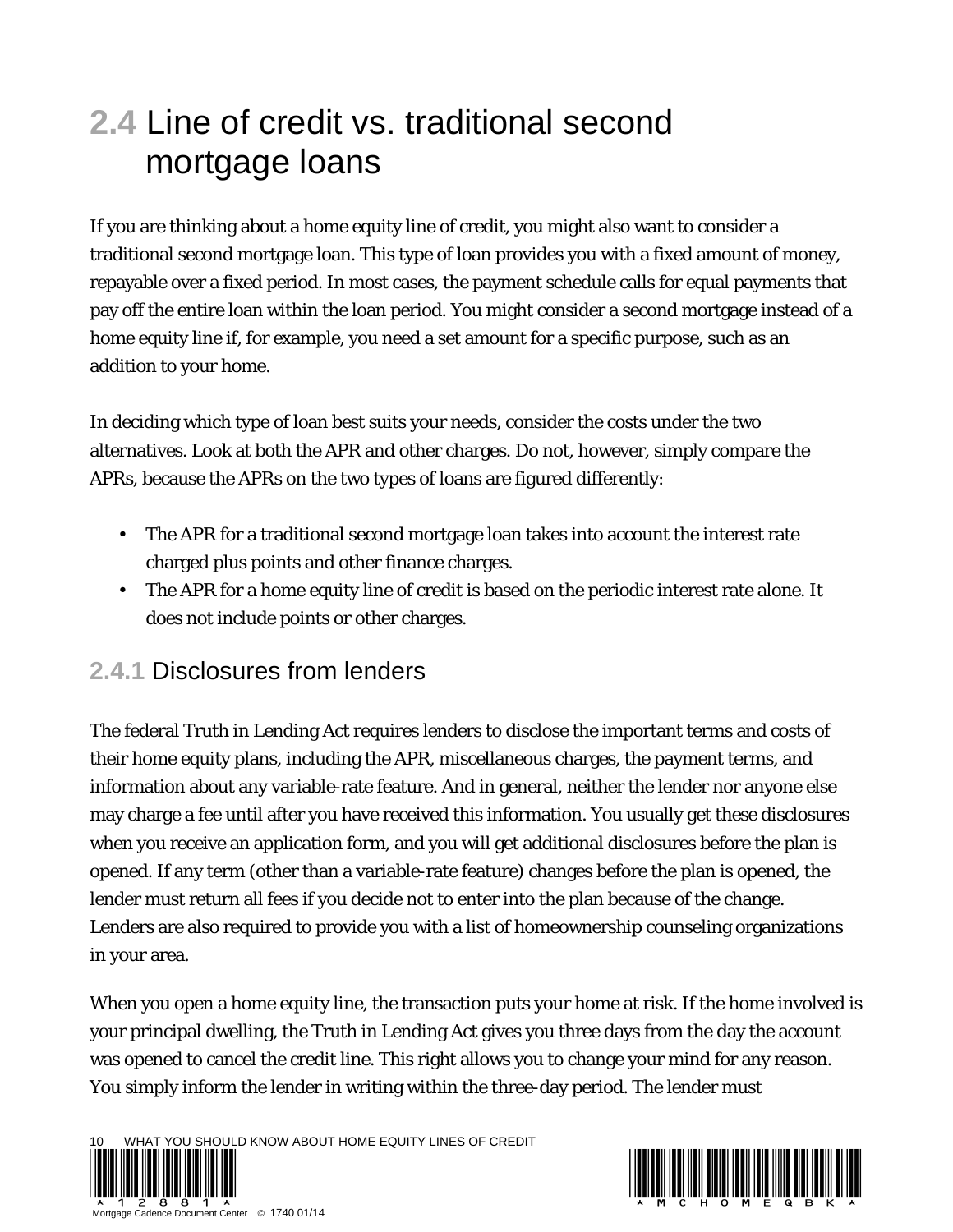### **2.4** Line of credit vs. traditional second mortgage loans

If you are thinking about a home equity line of credit, you might also want to consider a traditional second mortgage loan. This type of loan provides you with a fixed amount of money, repayable over a fixed period. In most cases, the payment schedule calls for equal payments that pay off the entire loan within the loan period. You might consider a second mortgage instead of a home equity line if, for example, you need a set amount for a specific purpose, such as an addition to your home.

In deciding which type of loan best suits your needs, consider the costs under the two alternatives. Look at both the APR and other charges. Do not, however, simply compare the APRs, because the APRs on the two types of loans are figured differently:

- The APR for a traditional second mortgage loan takes into account the interest rate charged plus points and other finance charges.
- The APR for a home equity line of credit is based on the periodic interest rate alone. It does not include points or other charges.

#### **2.4.1** Disclosures from lenders

The federal Truth in Lending Act requires lenders to disclose the important terms and costs of their home equity plans, including the APR, miscellaneous charges, the payment terms, and information about any variable-rate feature. And in general, neither the lender nor anyone else may charge a fee until after you have received this information. You usually get these disclosures when you receive an application form, and you will get additional disclosures before the plan is opened. If any term (other than a variable-rate feature) changes before the plan is opened, the lender must return all fees if you decide not to enter into the plan because of the change. Lenders are also required to provide you with a list of homeownership counseling organizations in your area.

When you open a home equity line, the transaction puts your home at risk. If the home involved is your principal dwelling, the Truth in Lending Act gives you three days from the day the account was opened to cancel the credit line. This right allows you to change your mind for any reason. You simply inform the lender in writing within the three-day period. The lender must

WHAT YOU SHOULD KNOW ABOUT HOME EQUITY LINES OF CREDIT



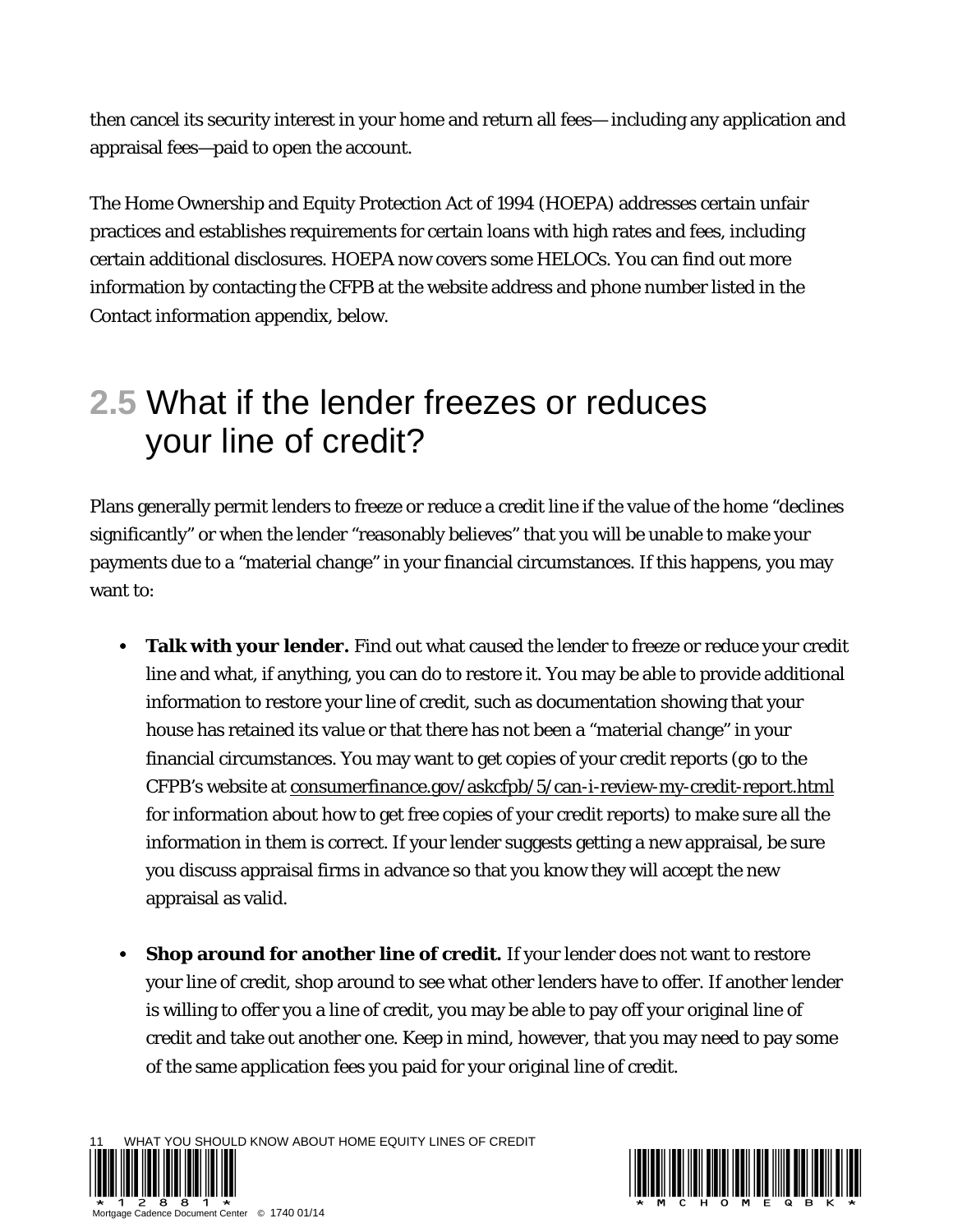then cancel its security interest in your home and return all fees— including any application and appraisal fees—paid to open the account.

The Home Ownership and Equity Protection Act of 1994 (HOEPA) addresses certain unfair practices and establishes requirements for certain loans with high rates and fees, including certain additional disclosures. HOEPA now covers some HELOCs. You can find out more information by contacting the CFPB at the website address and phone number listed in the Contact information appendix, below.

#### **2.5** What if the lender freezes or reduces your line of credit?

Plans generally permit lenders to freeze or reduce a credit line if the value of the home "declines significantly" or when the lender "reasonably believes" that you will be unable to make your payments due to a "material change" in your financial circumstances. If this happens, you may want to:

- **Talk with your lender.** Find out what caused the lender to freeze or reduce your credit line and what, if anything, you can do to restore it. You may be able to provide additional information to restore your line of credit, such as documentation showing that your house has retained its value or that there has not been a "material change" in your financial circumstances. You may want to get copies of your credit reports (go to the CFPB's website at consumerfinance.gov/askcfpb/5/can-i-review-my-credit-report.html for information about how to get free copies of your credit reports) to make sure all the information in them is correct. If your lender suggests getting a new appraisal, be sure you discuss appraisal firms in advance so that you know they will accept the new appraisal as valid.
- **Shop around for another line of credit.** If your lender does not want to restore your line of credit, shop around to see what other lenders have to offer. If another lender is willing to offer you a line of credit, you may be able to pay off your original line of credit and take out another one. Keep in mind, however, that you may need to pay some of the same application fees you paid for your original line of credit.

IAT YOU SHOULD KNOW ABOUT HOME EQUITY LINES OF CREDIT



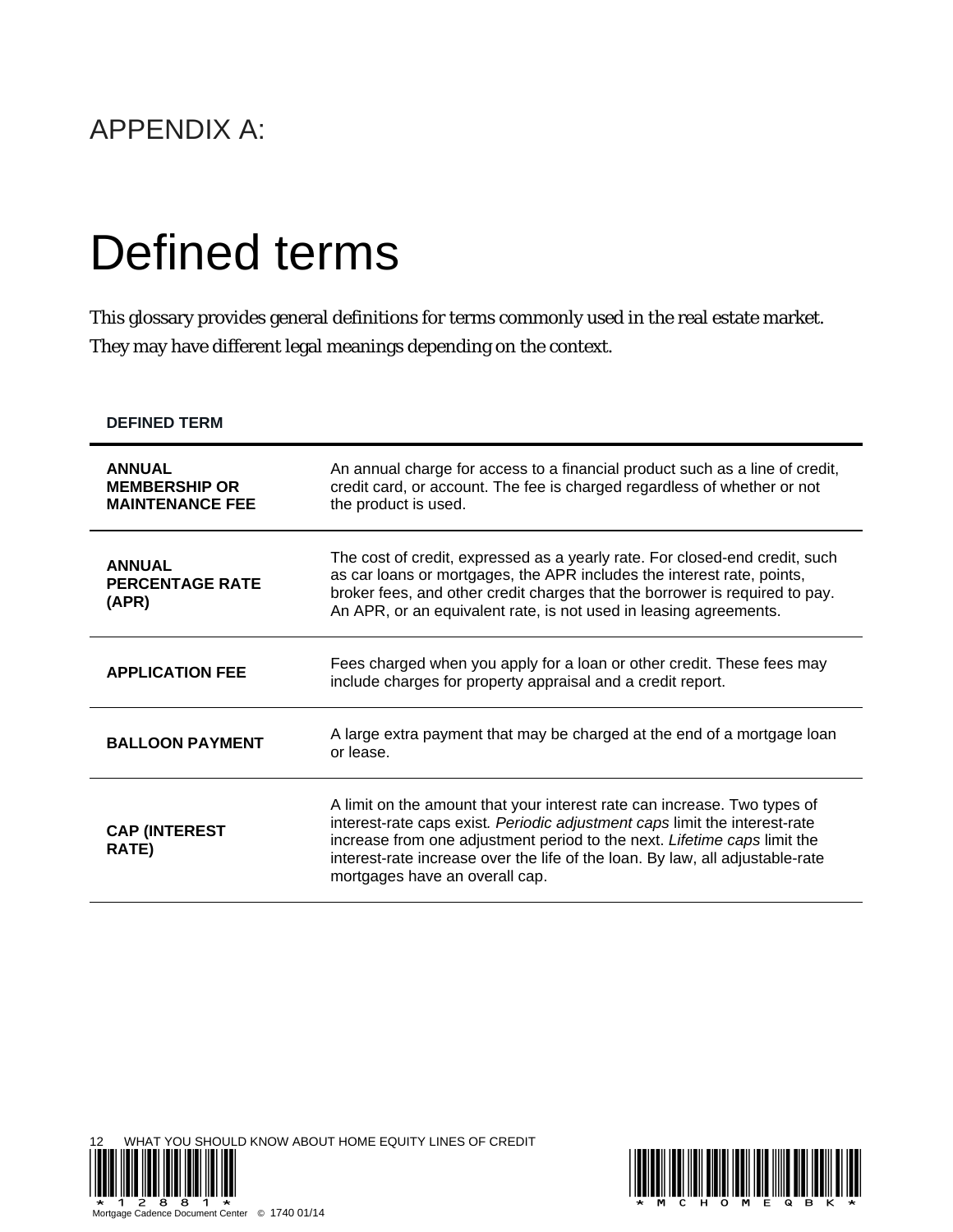#### APPENDIX A:

## Defined terms

This glossary provides general definitions for terms commonly used in the real estate market. They may have different legal meanings depending on the context.

| <b>DEFINED TERM</b>                                             |                                                                                                                                                                                                                                                                                                                                                       |
|-----------------------------------------------------------------|-------------------------------------------------------------------------------------------------------------------------------------------------------------------------------------------------------------------------------------------------------------------------------------------------------------------------------------------------------|
| <b>ANNUAL</b><br><b>MEMBERSHIP OR</b><br><b>MAINTENANCE FEE</b> | An annual charge for access to a financial product such as a line of credit,<br>credit card, or account. The fee is charged regardless of whether or not<br>the product is used.                                                                                                                                                                      |
| <b>ANNUAL</b><br><b>PERCENTAGE RATE</b><br>(APR)                | The cost of credit, expressed as a yearly rate. For closed-end credit, such<br>as car loans or mortgages, the APR includes the interest rate, points,<br>broker fees, and other credit charges that the borrower is required to pay.<br>An APR, or an equivalent rate, is not used in leasing agreements.                                             |
| <b>APPLICATION FEE</b>                                          | Fees charged when you apply for a loan or other credit. These fees may<br>include charges for property appraisal and a credit report.                                                                                                                                                                                                                 |
| <b>BALLOON PAYMENT</b>                                          | A large extra payment that may be charged at the end of a mortgage loan<br>or lease.                                                                                                                                                                                                                                                                  |
| <b>CAP (INTEREST</b><br><b>RATE)</b>                            | A limit on the amount that your interest rate can increase. Two types of<br>interest-rate caps exist. Periodic adjustment caps limit the interest-rate<br>increase from one adjustment period to the next. Lifetime caps limit the<br>interest-rate increase over the life of the loan. By law, all adjustable-rate<br>mortgages have an overall cap. |



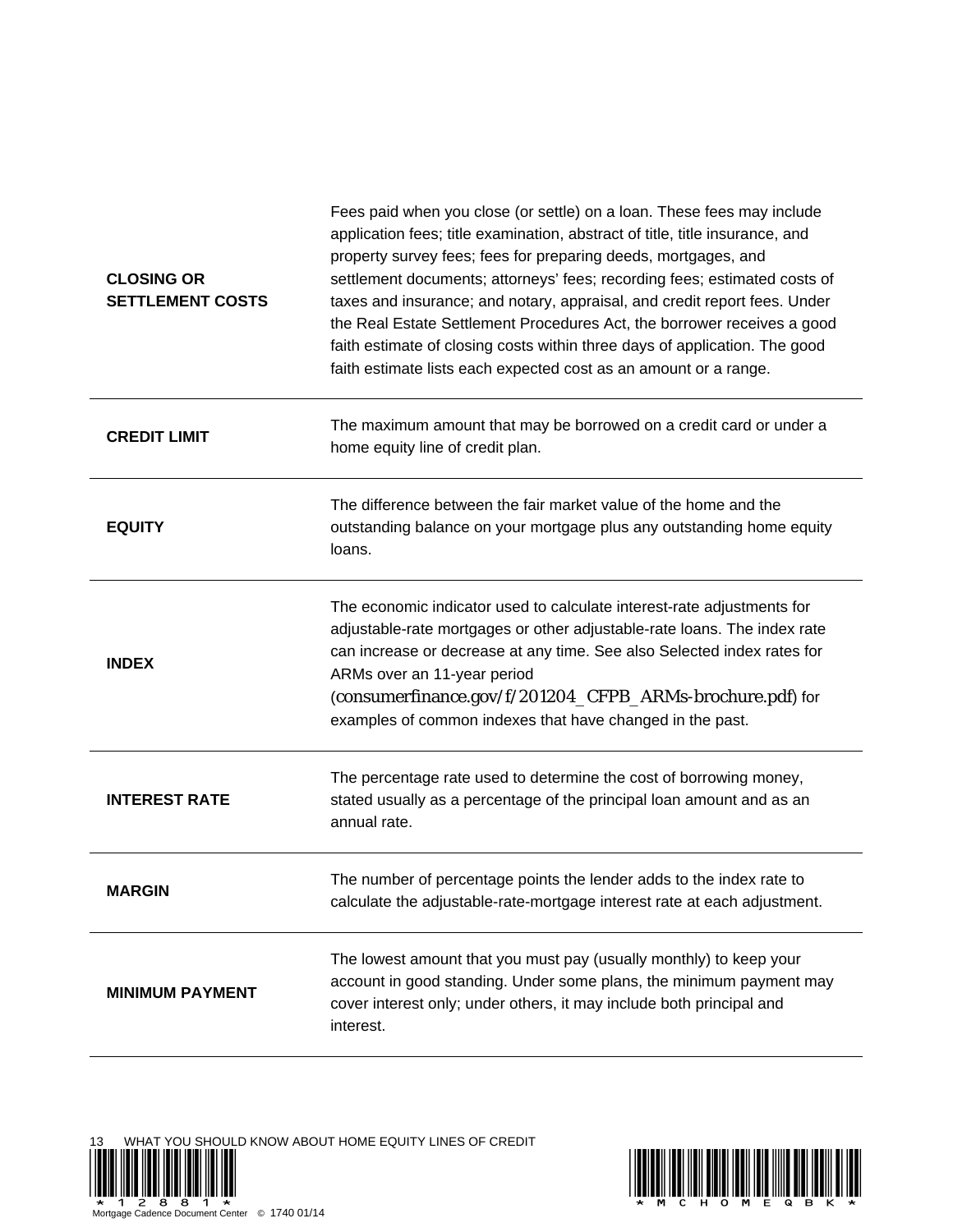| <b>CLOSING OR</b><br><b>SETTLEMENT COSTS</b> | Fees paid when you close (or settle) on a loan. These fees may include<br>application fees; title examination, abstract of title, title insurance, and<br>property survey fees; fees for preparing deeds, mortgages, and<br>settlement documents; attorneys' fees; recording fees; estimated costs of<br>taxes and insurance; and notary, appraisal, and credit report fees. Under<br>the Real Estate Settlement Procedures Act, the borrower receives a good<br>faith estimate of closing costs within three days of application. The good<br>faith estimate lists each expected cost as an amount or a range. |
|----------------------------------------------|-----------------------------------------------------------------------------------------------------------------------------------------------------------------------------------------------------------------------------------------------------------------------------------------------------------------------------------------------------------------------------------------------------------------------------------------------------------------------------------------------------------------------------------------------------------------------------------------------------------------|
| <b>CREDIT LIMIT</b>                          | The maximum amount that may be borrowed on a credit card or under a<br>home equity line of credit plan.                                                                                                                                                                                                                                                                                                                                                                                                                                                                                                         |
| <b>EQUITY</b>                                | The difference between the fair market value of the home and the<br>outstanding balance on your mortgage plus any outstanding home equity<br>loans.                                                                                                                                                                                                                                                                                                                                                                                                                                                             |
| <b>INDEX</b>                                 | The economic indicator used to calculate interest-rate adjustments for<br>adjustable-rate mortgages or other adjustable-rate loans. The index rate<br>can increase or decrease at any time. See also Selected index rates for<br>ARMs over an 11-year period<br>(consumerfinance.gov/f/201204_CFPB_ARMs-brochure.pdf) for<br>examples of common indexes that have changed in the past.                                                                                                                                                                                                                          |
| <b>INTEREST RATE</b>                         | The percentage rate used to determine the cost of borrowing money,<br>stated usually as a percentage of the principal loan amount and as an<br>annual rate.                                                                                                                                                                                                                                                                                                                                                                                                                                                     |
| <b>MARGIN</b>                                | The number of percentage points the lender adds to the index rate to<br>calculate the adjustable-rate-mortgage interest rate at each adjustment.                                                                                                                                                                                                                                                                                                                                                                                                                                                                |
| <b>MINIMUM PAYMENT</b>                       | The lowest amount that you must pay (usually monthly) to keep your<br>account in good standing. Under some plans, the minimum payment may<br>cover interest only; under others, it may include both principal and<br>interest.                                                                                                                                                                                                                                                                                                                                                                                  |

13 WHAT YOU SHOULD KNOW ABOUT HOME EQUITY LINES OF CREDIT



Mortgage Cadence Document Center © 1740 01/14

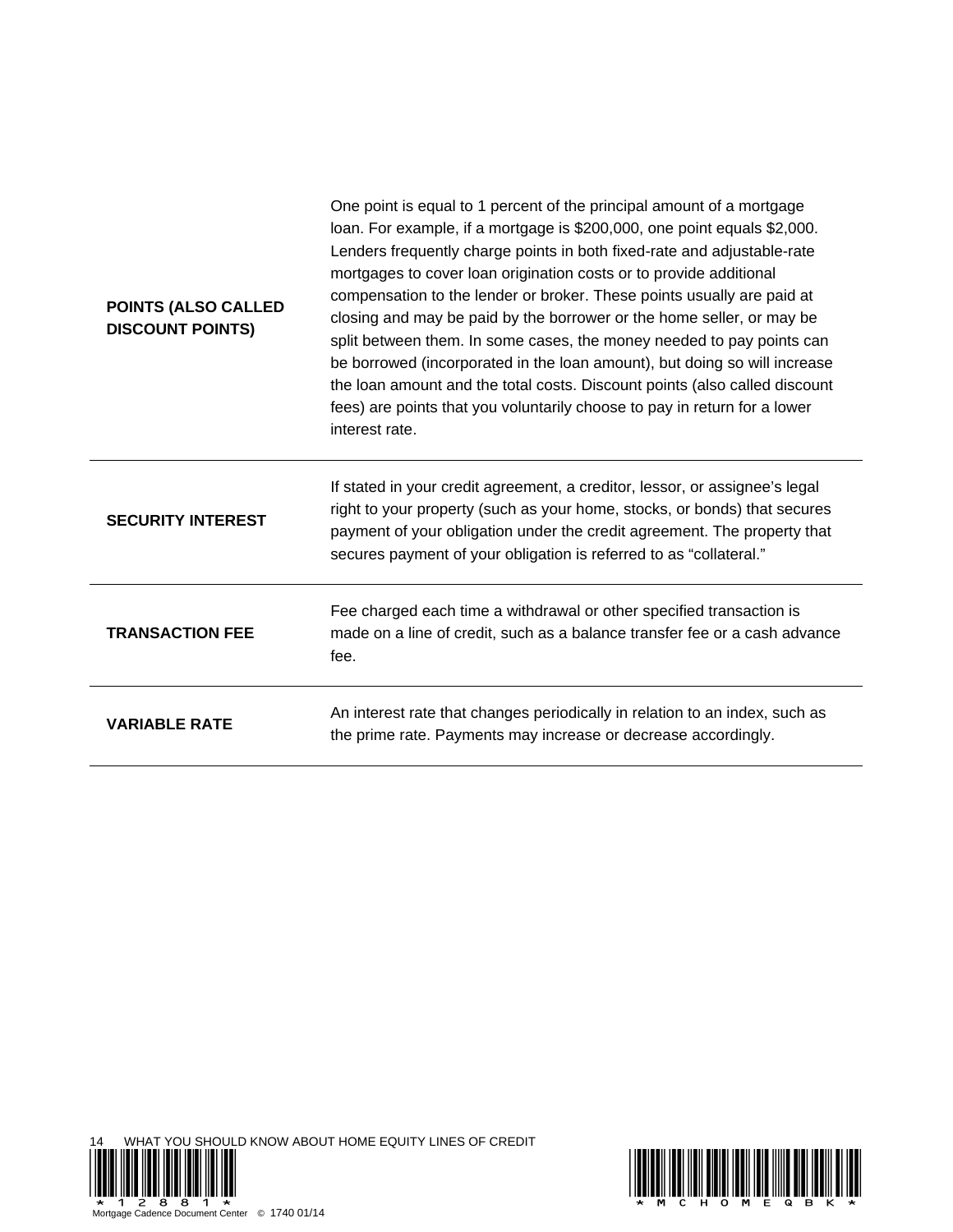| POINTS (ALSO CALLED<br><b>DISCOUNT POINTS)</b> | One point is equal to 1 percent of the principal amount of a mortgage<br>loan. For example, if a mortgage is \$200,000, one point equals \$2,000.<br>Lenders frequently charge points in both fixed-rate and adjustable-rate<br>mortgages to cover loan origination costs or to provide additional<br>compensation to the lender or broker. These points usually are paid at<br>closing and may be paid by the borrower or the home seller, or may be<br>split between them. In some cases, the money needed to pay points can<br>be borrowed (incorporated in the loan amount), but doing so will increase<br>the loan amount and the total costs. Discount points (also called discount<br>fees) are points that you voluntarily choose to pay in return for a lower<br>interest rate. |
|------------------------------------------------|------------------------------------------------------------------------------------------------------------------------------------------------------------------------------------------------------------------------------------------------------------------------------------------------------------------------------------------------------------------------------------------------------------------------------------------------------------------------------------------------------------------------------------------------------------------------------------------------------------------------------------------------------------------------------------------------------------------------------------------------------------------------------------------|
| <b>SECURITY INTEREST</b>                       | If stated in your credit agreement, a creditor, lessor, or assignee's legal<br>right to your property (such as your home, stocks, or bonds) that secures<br>payment of your obligation under the credit agreement. The property that<br>secures payment of your obligation is referred to as "collateral."                                                                                                                                                                                                                                                                                                                                                                                                                                                                               |
| <b>TRANSACTION FEE</b>                         | Fee charged each time a withdrawal or other specified transaction is<br>made on a line of credit, such as a balance transfer fee or a cash advance<br>fee.                                                                                                                                                                                                                                                                                                                                                                                                                                                                                                                                                                                                                               |
| <b>VARIABLE RATE</b>                           | An interest rate that changes periodically in relation to an index, such as<br>the prime rate. Payments may increase or decrease accordingly.                                                                                                                                                                                                                                                                                                                                                                                                                                                                                                                                                                                                                                            |



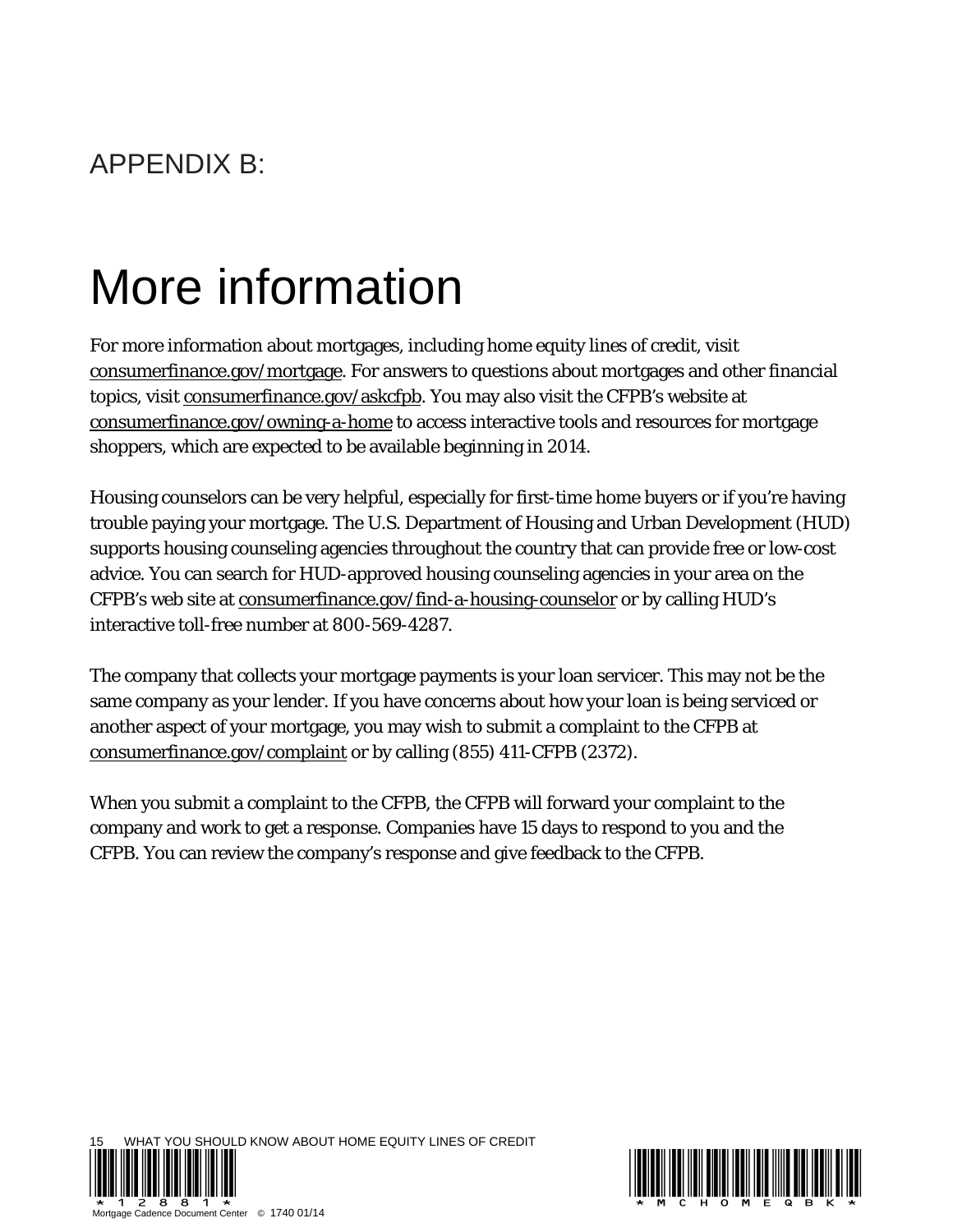# More information

For more information about mortgages, including home equity lines of credit, visit consumerfinance.gov/mortgage. For answers to questions about mortgages and other financial topics, visit consumerfinance.gov/askcfpb. You may also visit the CFPB's website at consumerfinance.gov/owning-a-home to access interactive tools and resources for mortgage shoppers, which are expected to be available beginning in 2014.

Housing counselors can be very helpful, especially for first-time home buyers or if you're having trouble paying your mortgage. The U.S. Department of Housing and Urban Development (HUD) supports housing counseling agencies throughout the country that can provide free or low-cost advice. You can search for HUD-approved housing counseling agencies in your area on the CFPB's web site at consumerfinance.gov/find-a-housing-counselor or by calling HUD's interactive toll-free number at 800-569-4287.

The company that collects your mortgage payments is your loan servicer. This may not be the same company as your lender. If you have concerns about how your loan is being serviced or another aspect of your mortgage, you may wish to submit a complaint to the CFPB at consumerfinance.gov/complaint or by calling (855) 411-CFPB (2372).

When you submit a complaint to the CFPB, the CFPB will forward your complaint to the company and work to get a response. Companies have 15 days to respond to you and the CFPB. You can review the company's response and give feedback to the CFPB.



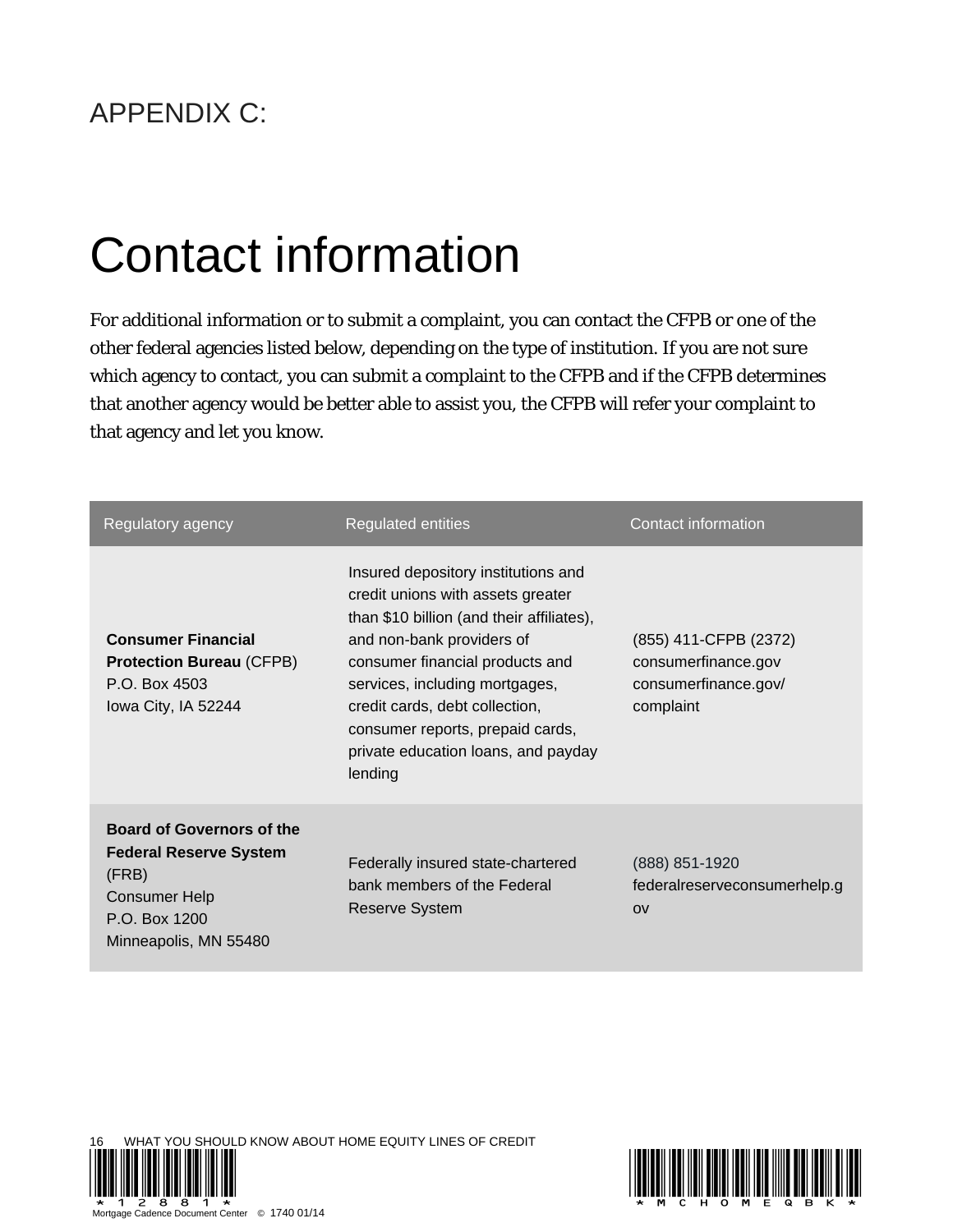#### APPENDIX C:

# Contact information

For additional information or to submit a complaint, you can contact the CFPB or one of the other federal agencies listed below, depending on the type of institution. If you are not sure which agency to contact, you can submit a complaint to the CFPB and if the CFPB determines that another agency would be better able to assist you, the CFPB will refer your complaint to that agency and let you know.

| Regulatory agency                                                                                                                            | <b>Regulated entities</b>                                                                                                                                                                                                                                                                                                                       | Contact information                                                               |
|----------------------------------------------------------------------------------------------------------------------------------------------|-------------------------------------------------------------------------------------------------------------------------------------------------------------------------------------------------------------------------------------------------------------------------------------------------------------------------------------------------|-----------------------------------------------------------------------------------|
| <b>Consumer Financial</b><br><b>Protection Bureau (CFPB)</b><br>P.O. Box 4503<br>Iowa City, IA 52244                                         | Insured depository institutions and<br>credit unions with assets greater<br>than \$10 billion (and their affiliates),<br>and non-bank providers of<br>consumer financial products and<br>services, including mortgages,<br>credit cards, debt collection,<br>consumer reports, prepaid cards,<br>private education loans, and payday<br>lending | (855) 411-CFPB (2372)<br>consumerfinance.gov<br>consumerfinance.gov/<br>complaint |
| <b>Board of Governors of the</b><br><b>Federal Reserve System</b><br>(FRB)<br><b>Consumer Help</b><br>P.O. Box 1200<br>Minneapolis, MN 55480 | Federally insured state-chartered<br>bank members of the Federal<br><b>Reserve System</b>                                                                                                                                                                                                                                                       | (888) 851-1920<br>federalreserveconsumerhelp.g<br>O <sub>V</sub>                  |





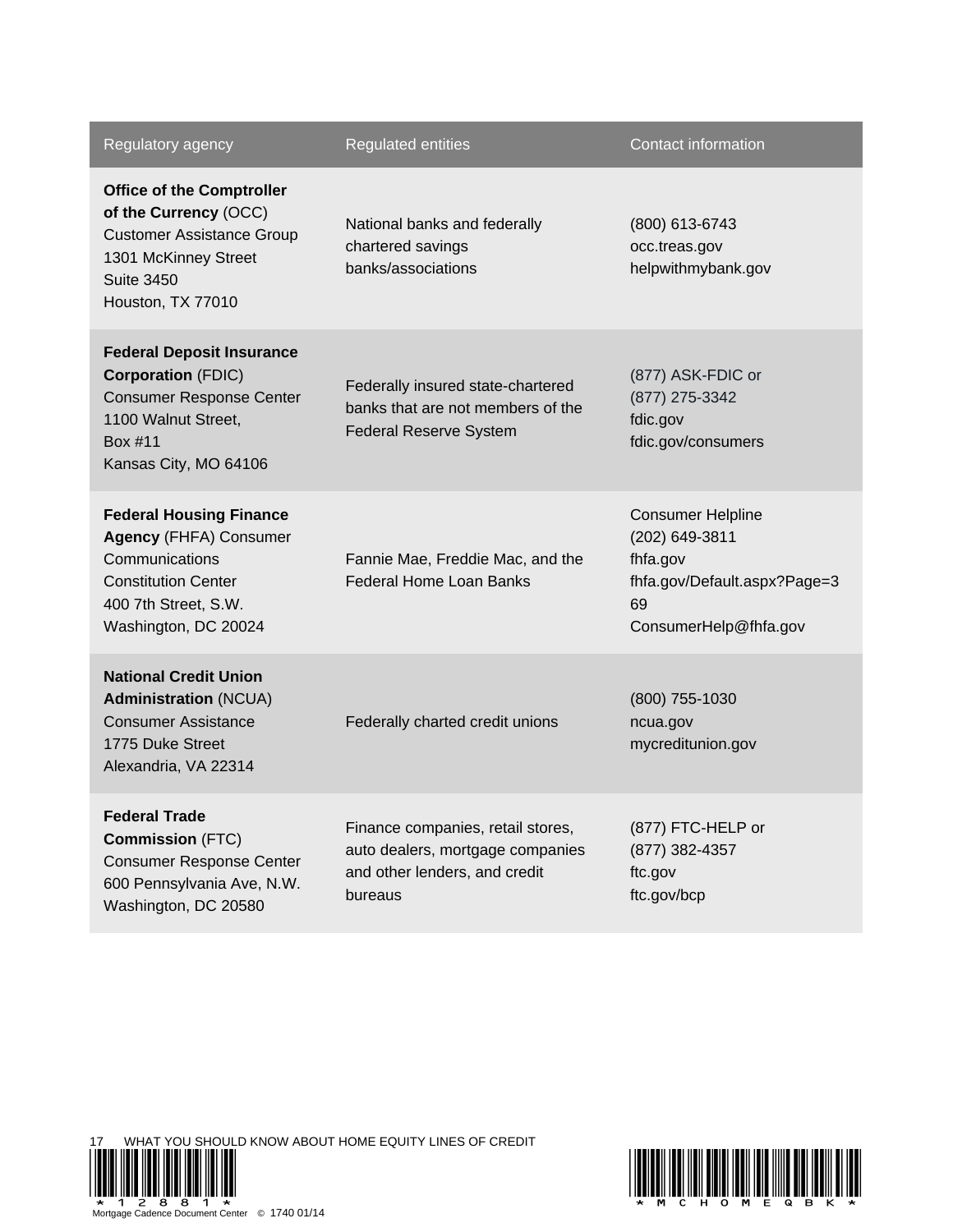| Regulatory agency                                                                                                                                               | <b>Regulated entities</b>                                                                                         | Contact information                                                                                                   |
|-----------------------------------------------------------------------------------------------------------------------------------------------------------------|-------------------------------------------------------------------------------------------------------------------|-----------------------------------------------------------------------------------------------------------------------|
| <b>Office of the Comptroller</b><br>of the Currency (OCC)<br><b>Customer Assistance Group</b><br>1301 McKinney Street<br><b>Suite 3450</b><br>Houston, TX 77010 | National banks and federally<br>chartered savings<br>banks/associations                                           | (800) 613-6743<br>occ.treas.gov<br>helpwithmybank.gov                                                                 |
| <b>Federal Deposit Insurance</b><br><b>Corporation (FDIC)</b><br><b>Consumer Response Center</b><br>1100 Walnut Street,<br>Box #11<br>Kansas City, MO 64106     | Federally insured state-chartered<br>banks that are not members of the<br><b>Federal Reserve System</b>           | (877) ASK-FDIC or<br>(877) 275-3342<br>fdic.gov<br>fdic.gov/consumers                                                 |
| <b>Federal Housing Finance</b><br><b>Agency (FHFA) Consumer</b><br>Communications<br><b>Constitution Center</b><br>400 7th Street, S.W.<br>Washington, DC 20024 | Fannie Mae, Freddie Mac, and the<br><b>Federal Home Loan Banks</b>                                                | <b>Consumer Helpline</b><br>(202) 649-3811<br>fhfa.gov<br>fhfa.gov/Default.aspx?Page=3<br>69<br>ConsumerHelp@fhfa.gov |
| <b>National Credit Union</b><br><b>Administration (NCUA)</b><br><b>Consumer Assistance</b><br>1775 Duke Street<br>Alexandria, VA 22314                          | Federally charted credit unions                                                                                   | (800) 755-1030<br>ncua.gov<br>mycreditunion.gov                                                                       |
| <b>Federal Trade</b><br><b>Commission (FTC)</b><br><b>Consumer Response Center</b><br>600 Pennsylvania Ave, N.W.<br>Washington, DC 20580                        | Finance companies, retail stores,<br>auto dealers, mortgage companies<br>and other lenders, and credit<br>bureaus | (877) FTC-HELP or<br>(877) 382-4357<br>ftc.gov<br>ftc.gov/bcp                                                         |

17 WHAT YOU SHOULD KNOW ABOUT HOME EQUITY LINES OF CREDIT



Mortgage Cadence Document Center © 1740 01/14